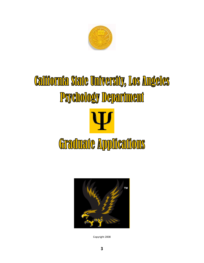

# California State University, Los Angeles **Psychology Department** Graduate Applications



Copyright 2008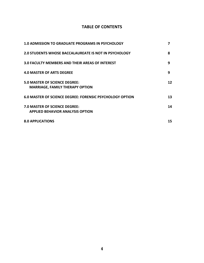# **TABLE OF CONTENTS**

| <b>1.0 ADMISSION TO GRADUATE PROGRAMS IN PSYCHOLOGY</b>                         | 7  |
|---------------------------------------------------------------------------------|----|
| <b>2.0 STUDENTS WHOSE BACCALAUREATE IS NOT IN PSYCHOLOGY</b>                    | 8  |
| 3.0 FACULTY MEMBERS AND THEIR AREAS OF INTEREST                                 | 9  |
| <b>4.0 MASTER OF ARTS DEGREE</b>                                                | 9  |
| <b>5.0 MASTER OF SCIENCE DEGREE:</b><br><b>MARRIAGE, FAMILY THERAPY OPTION</b>  | 12 |
| <b>6.0 MASTER OF SCIENCE DEGREE: FORENSIC PSYCHOLOGY OPTION</b>                 | 13 |
| <b>7.0 MASTER OF SCIENCE DEGREE:</b><br><b>APPLIED BEHAVIOR ANALYSIS OPTION</b> | 14 |
| <b>8.0 APPLICATIONS</b>                                                         | 15 |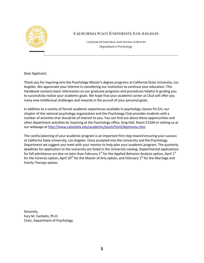

# CALIFORNIA STATE UNIVERSITY, LOS ANGELES

COLLEGE OF NATURAL AND SOCIAL SCIENCES Department of Psychology

Dear Applicant:

Thank you for inquiring into the Psychology Master's degree programs at California State University, Los Angeles. We appreciate your interest in considering our institution to continue your education. This Handbook contains basic information on our graduate programs and procedures helpful in guiding you to successfully realize your academic goals. We hope that your academic career at CSLA will offer you many new intellectual challenges and rewards in the pursuit of your personal goals.

In addition to a variety of formal academic experiences available in psychology classes Psi Chi, our chapter of the national psychology organization and the Psychology Club provides students with a number of activities that should be of interest to you. You can find out about these opportunities and other department activities by inquiring at the Psychology office, King Hall, Room C3104 or visiting us at our webpage at <http://www.calstatela.edu/academic/psych/html/deptmenu.htm>

The careful planning of your academic program is an important first step toward ensuring your success at California State University, Los Angeles. Once accepted into the University and the Psychology Department we suggest you meet with your mentor to help plan your academic program. The quarterly deadlines for application to the university are listed in the University catalog. Departmental applications for fall admittance are due no later than February  $1<sup>st</sup>$  for the Applied Behavior Analysis option, April  $1<sup>st</sup>$ for the Forensic option, April  $10^{th}$  for the Master of Arts option, and February  $1^{st}$  for the Marriage and Family Therapy option.

Sincerely, Fary M. Cachelin, Ph.D. Chair, Department of Psychology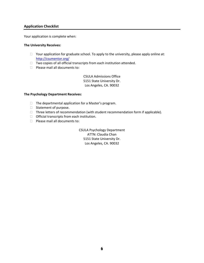# **Application Checklist**

Your application is complete when:

### **The University Receives:**

- $\Box$  Your application for graduate school. To apply to the university, please apply online at: <http://csumentor.org/>
- $\Box$  Two copies of all official transcripts from each institution attended.
- $\Box$  Please mail all documents to:

CSULA Admissions Office 5151 State University Dr. Los Angeles, CA. 90032

### **The Psychology Department Receives:**

- $\Box$  The departmental application for a Master's program.
- □ Statement of purpose.
- $\Box$  Three letters of recommendation (with student recommendation form if applicable).
- $\Box$  Official transcripts from each institution.
- **Please mail all documents to:**

CSULA Psychology Department ATTN: Claudia Chan 5151 State University Dr. Los Angeles, CA. 90032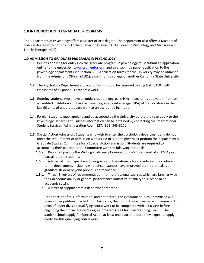# **1.0 INTRODUCTION TO GRADUATE PROGRAMS**

The Department of Psychology offers a Master of Arts degree. The department also offers a Masters of Science degree with options in Applied Behavior Analysis (ABA), Forensic Psychology and Marriage and Family Therapy (MFT).

### **1.0 ADMISSION TO GRADUATE PROGRAMS IN PSYCHOLOGY**

- **1.1.** Persons applying for entry into the graduate program in psychology must submit an application online to the university [\(www.csumentor.org](http://www.csumentor.org/)) and also submit a paper application to the psychology department (see section 8.0). Application forms for the University may be obtained from the Admissions Office (SA101), a community college or another California State University.
- **1.2.** The Psychology Department application form should be returned to King Hall, C3104 with transcripts of all previous academic work.
- **1.3.** Entering students must have an undergraduate degree in Psychology or its equivalent from an accredited institution and have achieved a grade point average (GPA) of 2.75 or above in the last 90 units of undergraduate work at an accredited institution.
- **1.4.** Foreign students must apply to and be accepted by the University before they can apply to the Psychology Department. Further information can be obtained by contacting the International Student Services (Administration Room 127, (323) 343‐3170).
- **1.5.** Special Action Admission. Students who wish to enter the psychology department and do not meet the requirement of admission with a GPA of 3.0 or higher must petition the department's Graduate Studies Committee for a Special Action admission. Students are required to accompany their petition to the Committee with the following materials:
	- **1.5.a.** Record of passing the Writing Proficiency Examination (WPE) required of all CSLA post baccalaureate students.
	- **1.5.b.** A letter of intent specifying their goals and the rationale for considering their admission to the department, including what circumstances have improved their potential as a graduate student beyond previous performance.
	- **1.5.c.** Three (3) letters of recommendation from professional sources which are familiar with their academic ability or general performance indicative of ability to succeed in an academic setting.
	- 1.5.d. A letter of support from a department mentor.

Upon receipt of this information, and not before, the Graduate Studies Committee will review their petition. If acted upon favorably, the Committee will assign a minimum of 16 units of upper division qualifying coursework to be completed with a 3.0 GPA before beginning the official Master's degree program (see Classified Standing, Sec. 8). The student should apply for Special Action at least one quarter before they expect to apply credit for this qualifying coursework.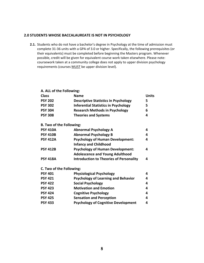# **2.0 STUDENTS WHOSE BACCALAUREATE IS NOT IN PSYCHOLOGY**

**2.1.** Students who do not have a bachelor's degree in Psychology at the time of admission must complete 31‐36 units with a GPA of 3.0 or higher. Specifically, the following prerequisites (or their equivalents) must be completed before beginning the Masters program. Whenever possible, credit will be given for equivalent course work taken elsewhere. Please note: coursework taken at a community college does not apply to upper division psychology requirements (courses MUST be upper division level).

# **A. ALL of the Following: Class Name Units PSY 202 Descriptive Statistics in Psychology 5 PSY 302 Inferential Statistics in Psychology 5 PSY 304 Research Methods in Psychology 6 PSY 308 Theories and Systems 4 B. Two of the Following: PSY 410A Abnormal Psychology A 4 PSY 410B Abnormal Psychology B 4 PSY 412A Psychology of Human Development: Infancy and Childhood 4 PSY 412B Psychology of Human Development: Adolescence and Young Adulthood 4 PSY 418A Introduction to Theories of Personality 4**

**C. Two of the Following:**

| <b>PSY 401</b> | <b>Physiological Psychology</b>            |   |
|----------------|--------------------------------------------|---|
| <b>PSY 421</b> | <b>Psychology of Learning and Behavior</b> | 4 |
| <b>PSY 422</b> | <b>Social Psychology</b>                   | 4 |
| <b>PSY 423</b> | <b>Motivation and Emotion</b>              | 4 |
| <b>PSY 424</b> | <b>Cognitive Psychology</b>                | 4 |
| <b>PSY 425</b> | <b>Sensation and Perception</b>            | 4 |
| <b>PSY 433</b> | <b>Psychology of Cognitive Development</b> | 4 |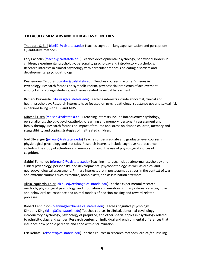# **3.0 FACULTY MEMBERS AND THEIR AREAS OF INTEREST**

Theodore S. Bell (tbell2@calstatela.edu) Teaches cognition, language, sensation and perception; Quantitative methods.

Fary Cachelin (fcachel@calstatela.edu) Teaches developmental psychology, behavior disorders in children, experimental psychology, personality psychology and introductory psychology. Research interests in clinical psychology with particular emphasis on eating disorders and developmental psychopathology.

Desdemona Cardoza (dcardoz@calstatela.edu) Teaches courses in women's issues in Psychology. Research focuses on symbolic racism, psychosocial predictors of achievement among Latino college students, and issues related to sexual harassment.

Ramani Durvasula (rdurvas@calstatela.edu) Teaching interests include abnormal, clinical and health psychology. Research interests have focused on psychopathology, substance use and sexual risk in persons living with HIV and AIDS.

Mitchell Eisen (meisen@calstatela.edu) Teaching interests include introductory psychology, personality psychology, psychopathology, learning and memory, personality assessment and family therapy. Research focuses on impact of trauma and stress on abused children, memory and suggestibility and coping strategies of maltreated children.

Joel Ellwanger (jellwan@calstatela.edu) Teaches undergraduate and graduate level courses in physiological psychology and statistics. Research interests include cognitive neuroscience, including the study of attention and memory through the use of physiological indices of cognition.

Gaithri Fernando (gfernan2@calstatela.edu) Teaching interests include abnormal psychology and clinical psychology, personality, and developmental psychopathology, as well as clinical and neuropsychological assessment. Primary interests are in posttraumatic stress in the context of war and extreme traumas such as torture, bomb blasts, and assassination attempts.

Alicia Izquierdo‐Edler (aizquie@exchange.calstatela.edu) Teaches experimental research methods, physiological psychology, and motivation and emotion. Primary interests are cognitive and behavioral neuroscience and animal models of decision‐making and reward‐related processes.

Robert Kenninson (rkennin@exchange.calstatela.edu) Teaches cognitive psychology. Kimberly King (kking3@calstatela.edu) Teaches courses in clinical, abnormal psychology, introductory psychology, psychology of prejudice, and other special topics in psychology related to ethnicity, class and gender. Research centers on individual and environmental differences that influence how people perceive and cope with discrimination.

Eric Kohatsu (ekohats@calstatela.edu) Teaches courses in research methods, clinical/counseling,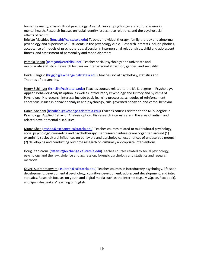human sexuality, cross‐cultural psychology. Asian American psychology and cultural issues in mental health. Research focuses on racial identity issues, race relations, and the psychosocial effects of racism.

Brigitte Matthies (bmatthi@calstatela.edu) Teaches individual therapy, family therapy and abnormal psychology,and supervises MFT students in the psychology clinic. Research interests include phobias, acceptance of models of psychotherapy, diversity in interpersonal relationships, child and adolescent fitness, and assessment of personality and mood disorders

Pamela Regan (pcregan@earthlink.net) Teaches social psychology and univariate and multivariate statistics. Research focuses on interpersonal attraction, gender, and sexuality.

Heidi R. Riggio (hriggio@exchange.calstatela.edu) Teaches social psychology, statistics and Theories of personality.

Henry Schlinger (hshclin@calstatela.edu) Teaches courses related to the M. S. degree in Psychology, Applied Behavior Analysis option, as well as Introductory Psychology and History and Systems of Psychology. His research interests include basic learning processes, schedules of reinforcement, conceptual issues in behavior analysis and psychology, rule‐governed behavior, and verbal behavior.

Daniel Shabani [\(bshaban@exchange.calstatela.edu](mailto:bshaban@exchange.calstatela.edu)) Teaches courses related to the M. S. degree in Psychology, Applied Behavior Analysis option. His research interests are in the area of autism and related developmental disabilities.

Munyi Shea [\(mshea@exchange.calstatela.edu](mailto:mshea@exchange.calstatela.edu)) Teaches courses related to multicultural psychology, social psychology, counseling and psychotherapy. Her research interests are organized around (1) examining sociocultural influences on behaviors and psychological experiences of undeserved groups; (2) developing and conducting outcome research on culturally appropriate interventions.

Doug Stenstrom ([dstenst@exchange.calstatela.edu](mailto:dstenst@exchange.calstatela.edu))Teaches courses related to social psychology, psychology and the law, violence and aggression, forensic psychology and statistics and research methods.

Kaveri Subrahmanyam (ksubrah@calstatela.edu) Teaches courses in introductory psychology, life span development, developmental psychology, cognitive development, adolescent development, and intro statistics. Research focuses on youth and digital media such as the Internet (e.g., MySpace, Facebook), and Spanish‐speakers' learning of English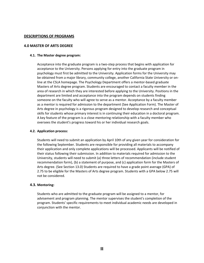### **DESCRIPTIONS OF PROGRAMS**

### **4.0 MASTER OF ARTS DEGREE**

### **4.1. The Master degree program:**

Acceptance into the graduate program is a two‐step process that begins with application for acceptance to the University. Persons applying for entry into the graduate program in psychology must first be admitted to the University. Application forms for the University may be obtained from a major library, community college, another California State University or on‐ line at the CSLA homepage. The Psychology Department offers a mentor‐based graduate Masters of Arts degree program. Students are encouraged to contact a faculty member in the area of research in which they are interested before applying to the University. Positions in the department are limited and acceptance into the program depends on students finding someone on the faculty who will agree to serve as a mentor. Acceptance by a faculty member as a mentor is required for admission to the department (See Application Form). The Master of Arts degree in psychology is a rigorous program designed to develop research and conceptual skills for students whose primary interest is in continuing their education in a doctoral program. A key feature of the program is a close mentoring relationship with a faculty member who oversees the student's progress toward his or her individual research goals.

### **4.2. Application process:**

Students will need to submit an application by April 10th of any given year for consideration for the following September. Students are responsible for providing all materials to accompany their application and only complete applications will be processed. Applicants will be notified of their status following their submission. In addition to materials required for admission to the University, students will need to submit (a) three letters of recommendation (include student recommendation form), (b) a statement of purpose, and (c) application form for the Masters of Arts degree. (See Section 13.0) Students are required to have a grade point average (GPA) of 2.75 to be eligible for the Masters of Arts degree program. Students with a GPA below 2.75 will not be considered.

### **4.3. Mentoring:**

Students who are admitted to the graduate program will be assigned to a mentor, for advisement and program planning. The mentor supervises the student's completion of the program. Students' specific requirements to meet individual academic needs are developed in conjunction with the mentor.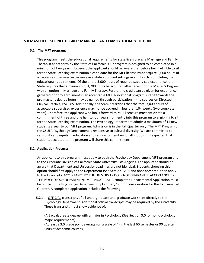# **5.0 MASTER OF SCIENCE DEGREE: MARRIAGE AND FAMILY THERAPY OPTION**

### **5.1. The MFT program:**

This program meets the educational requirements for state licensure as a Marriage and Family Therapist as set forth by the State of California. Our program is designed to be completed in a minimum of two years. However, the applicant should be aware that before being eligible to sit for the State licensing examination a candidate for the MFT license must acquire 3,000 hours of acceptable supervised experience in a state approved settings in addition to completing the educational requirements. Of the entire 3,000 hours of required supervised experience, the State requires that a minimum of 1,700 hours be acquired after receipt of the Master's Degree with an option in Marriage and Family Therapy. Further, no credit can be given for experience gathered prior to enrollment in an acceptable MFT educational program. Credit towards the pre‐master's degree hours may be gained through participation in the courses on Directed Clinical Practice, PSY 585. Additionally, the State prescribes that the total 3,000 hours of acceptable supervised experience may not be accrued in less than 104 weeks (two complete years). Therefore, the applicant who looks forward to MFT licensure must anticipate a commitment of three and one half to four years from entry into this program to eligibility to sit for the State licensing examination. The Psychology Department admits a maximum of 15 new students a year to our MFT program. Admission is in the Fall Quarter only. The MFT Program of the CSULA Psychology Department is responsive to cultural diversity. We are committed to sensitivity and equity in education and service to members of all groups. It is expected that students accepted to the program will share this commitment.

### **5.2. Application Process:**

An applicant to this program must apply to both the Psychology Department MFT program and to the Graduate Division of California State University, Los Angeles. The applicant should be aware that Department and University deadlines are not identical. Students choosing this option should first apply to the Department (See Section 12.0) and once accepted, then apply to the University. ACCEPTANCE BY THE UNIVERSITY DOES NOT GUARANTEE ACCEPTANCE BY THE PSYCHOLOGY DEPARTMENT MFT PROGRAM. A completed Departmental Application must be on file in the Psychology Department by February 1st, for consideration for the following Fall Quarter. A completed application includes the following:

**5.2.a.** OFFICIAL transcripts of all undergraduate and graduate work sent directly to the Psychology Department. Additional official transcripts may be required by the University. These transcripts must show evidence of:

**‐**A Baccalaureate degree with a major in Psychology (See Section 3.0 for non‐psychology major requirements)

‐At least a 3.0 grade point average (on a scale of 4) in the last 60 semester or 90 quarter units of academic courses.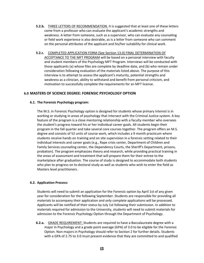- **5.2.b.** THREE LETTERS OF RECOMMENDATION. It is suggested that at least one of these letters come from a professor who can evaluate the applicant's academic strengths and weakness. A letter from someone, such as a supervisor, who can evaluate any counseling or field work experience is also desirable, as is a letter from someone who can comment on the personal attributes of the applicant and his/her suitability for clinical work.
- **5.2.c.** COMPLETED APPLICATION FORM (See Section 13.0) FINAL DETERMINATION OF ACCEPTANCE TO THE MFT PROGRAM will be based on a personal interview with faculty and student members of the Psychology MFT Program. Interviews will be conducted with those applicants (a) whose files are complete by deadline date, and (b) who remain under consideration following evaluation of the materials listed above. The purpose of this interview is to attempt to assess the applicant's maturity, potential strengths and weakness as a clinician, ability to withstand and benefit from personal criticism, and motivation to successfully complete the requirements for an MFT license.

### **6.0 MASTERS OF SCIENCE DEGREE: FORENSIC PSYCHOLOGY OPTION**

### **6.1. The Forensic Psychology program:**

The M.S. in Forensic Psychology option is designed for students whose primary interest is in working or studying in areas of psychology that intersect with the Criminal Justice system. A key feature of the program is a close mentoring relationship with a faculty member who oversees the student's progress toward his or her individual career goals. All students begin their program in the fall quarter and take several core courses together. The program offers an M.S. degree and consists of 52 units of course work, which includes a 9 month practicum where students receive hands on training and on site supervision in a forensic setting related to their individual interests and career goals (e.g., Rape crisis center, Department of Children and Family Services counseling center, the Dependency Courts, the Sheriff's Department, prisons, probation). The program emphasizes theory and research, while providing practical training in the areas of assessment and treatment that will prepare them for their entree to the marketplace after graduation. The course of study is designed to accommodate both students who plan to progress on to doctoral study as well as students who wish to enter the field as Masters level practitioners.

### **6.2. Application Process:**

Students will need to submit an application for the Forensic option by April 1st of any given year for consideration for the following September. Students are responsible for providing all materials to accompany their application and only complete applications will be processed. Applicants will be notified of their status by July 1st following their submission. In addition to materials required for admission to the University, students will need to submit materials for admission to the Forensic Psychology Option through the Department of Psychology.

**6.2.a.** GRADE REQUIREMENT: Students are required to have a Baccalaureate degree with a major in Psychology and a grade point average (GPA) of 3.0 to be eligible for the Forensic Option. Non‐majors in Psychology should refer to Section 2 for further details. Students with a GPA of 2.75 to 3.0 must present evidence that they are committed to and qualified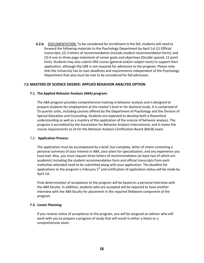**6.2.b.** DOCUMENTATION: To be considered for enrollment in the fall, students will need to forward the following materials to the Psychology Department by April 1st (1) Official transcripts; (2) 3 letters of recommendation (include student recommendation form); and (3) A one to three page statement of career goals and objectives (Double spaced, 12 point font). Students may also submit GRE scores (general and/or subject tests) to support their application, although the GRE is not required for admission to the program. Please note that the University has its own deadlines and requirements independent of the Psychology Department that also must be met to be considered for fall admission.

### **7.0 MASTERS OF SCIENCE DEGREE: APPLIED BEHAVIOR ANALYSIS OPTION**

### **7.1. The Applied Behavior Analysis (ABA) program:**

The ABA program provides comprehensive training in behavior analysis and is designed to prepare students for employment at the master's level or for doctoral study. It is comprised of 55 quarter units, including courses offered by the Department of Psychology and the Division of Special Education and Counseling. Students are expected to develop both a theoretical understanding as well as a mastery of the application of the science of behavior analysis. The program is accredited by the Association for Behavior Analysis International, and it meets the course requirements to sit for the Behavior Analysis Certification Board (BACB) exam.

### 7.2. **Application Process:**

The application must be accompanied by a brief, but complete, letter of intent containing a personal summary of your interest in ABA, your plans for specialization, and any experience you have had. Also, you must request three letters of recommendation (at least two of which are academic) including the student recommendation form and official transcripts from each institution attended need to be submitted along with your application. The deadline for applications to the program is February  $1<sup>st</sup>$  and notification of application status will be made by April 1st.

Final determination of acceptance to the program will be based on a personal interview with the ABA faculty. In addition, students who are accepted will be required to have another interview with the ABA faculty for placement in the required fieldwork component of the program.

### **7.3. Career Planning:**

If you receive notice of acceptance to the program, you will be assigned an advisor who will work with you to prepare a program of study that will result in either a thesis or a comprehensive exam.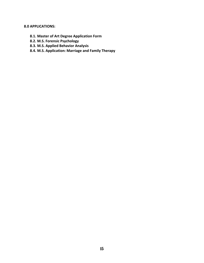# **8.0 APPLICATIONS:**

- **8.1. Master of Art Degree Application Form**
- **8.2. M.S. Forensic Psychology**
- **8.3. M.S. Applied Behavior Analysis**
- **8.4. M.S. Application: Marriage and Family Therapy**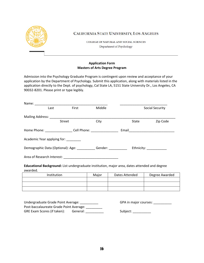

CALIFORNIA STATE UNIVERSITY, LOS ANGELES

COLLEGE OF NATURAL AND SOCIAL SCIENCES Department of Psychology

# **Application Form Masters of Arts Degree Program**

Admission into the Psychology Graduate Program is contingent upon review and acceptance of your application by the Department of Psychology. Submit this application, along with materials listed in the application directly to the Dept. of psychology, Cal State LA, 5151 State University Dr., Los Angeles, CA 90032‐8201. Please print or type legibly.

| Name:                                                                                                     |                                                                                                |       |        |                |                        |  |  |
|-----------------------------------------------------------------------------------------------------------|------------------------------------------------------------------------------------------------|-------|--------|----------------|------------------------|--|--|
|                                                                                                           | First<br>Last                                                                                  |       | Middle |                | <b>Social Security</b> |  |  |
| Mailing Address: Mailing Address:                                                                         |                                                                                                |       |        |                |                        |  |  |
|                                                                                                           | <b>Street</b>                                                                                  |       | City   | State          | Zip Code               |  |  |
| Home Phone: __________________________Cell Phone: ______________________________                          |                                                                                                |       |        |                |                        |  |  |
| Academic Year applying for:                                                                               |                                                                                                |       |        |                |                        |  |  |
|                                                                                                           | Demographic Data (Optional): Age: ____________Gender: ________________ Ethnicity: ____________ |       |        |                |                        |  |  |
|                                                                                                           | Area of Research Interest: National Area of Research Interest:                                 |       |        |                |                        |  |  |
| Educational Background: List undergraduate institution, major area, dates attended and degree<br>awarded. |                                                                                                |       |        |                |                        |  |  |
|                                                                                                           | Institution                                                                                    | Major |        | Dates Attended | Degree Awarded         |  |  |
|                                                                                                           |                                                                                                |       |        |                |                        |  |  |

| ,我们就是一个人的人,我们就是一个人的人,我们就是一个人的人,我们就是一个人的人,我们就是一个人的人,我们就是一个人的人,我们就是一个人的人,我们就是一个人的人 |  |  |
|----------------------------------------------------------------------------------|--|--|
|                                                                                  |  |  |
| the control of the control of the control of the control of                      |  |  |
|                                                                                  |  |  |
|                                                                                  |  |  |

| Undergraduate Grade Point Average:      |          | GPA in major courses: |
|-----------------------------------------|----------|-----------------------|
| Post-baccalaureate Grade Point Average: |          |                       |
| GRE Exam Scores (if taken):             | General: | Subject:              |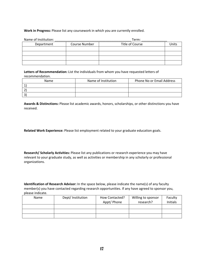# **Work in Progress:** Please list any coursework in which you are currently enrolled.

| Name of Institution: |                      | Term:           |       |
|----------------------|----------------------|-----------------|-------|
| Department           | <b>Course Number</b> | Title of Course | Unit: |
|                      |                      |                 |       |
|                      |                      |                 |       |
|                      |                      |                 |       |
|                      |                      |                 |       |

**Letters of Recommendation:** List the individuals from whom you have requested letters of recommendation.

| Name | Name of Institution | Phone No or Email Address |  |
|------|---------------------|---------------------------|--|
|      |                     |                           |  |
|      |                     |                           |  |
| ર    |                     |                           |  |

**Awards & Distinctions:** Please list academic awards, honors, scholarships, or other distinctions you have received.

**Related Work Experience:** Please list employment related to your graduate education goals.

**Research/ Scholarly Activities:** Please list any publications or research experience you may have relevant to your graduate study, as well as activities or membership in any scholarly or professional organizations.

**Identification of Research Advisor:** In the space below, please indicate the name(s) of any faculty member(s) you have contacted regarding research opportunities. If any have agreed to sponsor you, please indicate.

| Name | Dept/ Institution | How Contacted? | Willing to sponsor | Faculty  |
|------|-------------------|----------------|--------------------|----------|
|      |                   | Appt/ Phone    | research?          | Initials |
|      |                   |                |                    |          |
|      |                   |                |                    |          |
|      |                   |                |                    |          |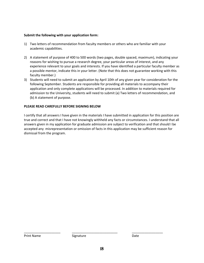### **Submit the following with your application form:**

- 1) Two letters of recommendation from faculty members or others who are familiar with your academic capabilities.
- 2) A statement of purpose of 400 to 500 words (two pages, double spaced, maximum), indicating your reasons for wishing to pursue a research degree, your particular areas of interest, and any experience relevant to your goals and interests. If you have identified a particular faculty member as a possible mentor, indicate this in your letter. (Note that this does not guarantee working with this faculty member.)
- 3) Students will need to submit an application by April 10th of any given year for consideration for the following September. Students are responsible for providing all materials to accompany their application and only complete applications will be processed. In addition to materials required for admission to the University, students will need to submit (a) Two letters of recommendation, and (b) A statement of purpose.

### **PLEASE READ CAREFULLY BEFORE SIGNING BELOW**

I certify that all answers I have given in the materials I have submitted in application for this position are true and correct and that I have not knowingly withheld any facts or circumstances. I understand that all answers given in my application for graduate admission are subject to verification and that should I be accepted any misrepresentation or omission of facts in this application may be sufficient reason for dismissal from the program.

\_\_\_\_\_\_\_\_\_\_\_\_\_\_\_\_\_\_\_\_ \_\_\_\_\_\_\_\_\_\_\_\_\_\_\_\_\_\_\_\_\_\_\_\_\_ \_\_\_\_\_\_\_\_\_\_\_\_\_\_\_\_\_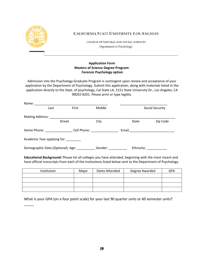

 $\overline{\phantom{a}}$ 

CALIFORNIA STATE UNIVERSITY, LOS ANGELES

COLLEGE OF NATURAL AND SOCIAL SCIENCES Department of Psychology

# **Application Form Masters of Science Degree Program: Forensic Psychology option**

Admission into the Psychology Graduate Program is contingent upon review and acceptance of your application by the Department of Psychology. Submit this application, along with materials listed in the application directly to the Dept. of psychology, Cal State LA, 5151 State University Dr., Los Angeles, CA 90032‐8201. Please print or type legibly.

| Name:                               |                                   |                            |         |       |                         |                 |
|-------------------------------------|-----------------------------------|----------------------------|---------|-------|-------------------------|-----------------|
|                                     | Last                              | First                      | Middle  |       |                         | Social Security |
| Mailing Address:                    |                                   |                            |         |       |                         |                 |
|                                     | <b>Street</b>                     |                            | City    |       | State                   | Zip Code        |
| Home Phone: Now You Want The Phone: |                                   | Cell Phone: The Collection |         | Email |                         |                 |
|                                     | Academic Year applying for:       |                            |         |       |                         |                 |
|                                     | Demographic Data (Optional): Age: |                            | Gender: |       | Ethnicity: ____________ |                 |

**Educational Background:** Please list all colleges you have attended, beginning with the most recent and have official transcripts from each of the institutions listed below sent to the Department of Psychology.

| Institution | Major | Dates Attended | Degree Awarded | <b>GPA</b> |
|-------------|-------|----------------|----------------|------------|
|             |       |                |                |            |
|             |       |                |                |            |
|             |       |                |                |            |
|             |       |                |                |            |

What is your GPA (on a four point scale) for your last 90 quarter units or 60 semester units?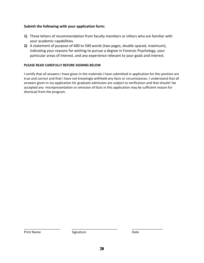# **Submit the following with your application form:**

- **1)** Three letters of recommendation from faculty members or others who are familiar with your academic capabilities.
- **2)** A statement of purpose of 400 to 500 words (two pages, double spaced, maximum), indicating your reasons for wishing to pursue a degree in Forensic Psychology, your particular areas of interest, and any experience relevant to your goals and interest.

# **PLEASE READ CAREFULLY BEFORE SIGNING BELOW**

I certify that all answers I have given in the materials I have submitted in application for this position are true and correct and that I have not knowingly withheld any facts or circumstances. I understand that all answers given in my application for graduate admission are subject to verification and that should I be accepted any misrepresentation or omission of facts in this application may be sufficient reason for dismissal from the program.

Print Name Signature **Contains Example 2018** 

\_\_\_\_\_\_\_\_\_\_\_\_\_\_\_\_\_\_\_\_ \_\_\_\_\_\_\_\_\_\_\_\_\_\_\_\_\_\_\_\_\_\_\_\_\_ \_\_\_\_\_\_\_\_\_\_\_\_\_\_\_\_\_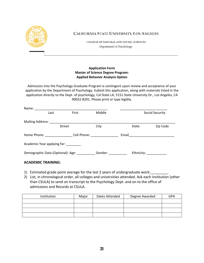

CALIFORNIA STATE UNIVERSITY, LOS ANGELES

COLLEGE OF NATURAL AND SOCIAL SCIENCES Department of Psychology

# **Application Form Master of Science Degree Program: Applied Behavior Analysis Option**

Admission into the Psychology Graduate Program is contingent upon review and acceptance of your application by the Department of Psychology. Submit this application, along with materials listed in the application directly to the Dept. of psychology, Cal State LA, 5151 State University Dr., Los Angeles, CA 90032‐8201. Please print or type legibly.

| Name:                                      |               |                            |                                                                                                                                                                                                                                |       |                        |                        |
|--------------------------------------------|---------------|----------------------------|--------------------------------------------------------------------------------------------------------------------------------------------------------------------------------------------------------------------------------|-------|------------------------|------------------------|
|                                            | Last          | First                      | Middle                                                                                                                                                                                                                         |       |                        | <b>Social Security</b> |
| Mailing Address:                           |               |                            |                                                                                                                                                                                                                                |       |                        |                        |
|                                            | <b>Street</b> |                            | City                                                                                                                                                                                                                           |       | State                  | Zip Code               |
| Home Phone: North States                   |               | Cell Phone: The Collection |                                                                                                                                                                                                                                | Email |                        |                        |
| Academic Year applying for: ________       |               |                            |                                                                                                                                                                                                                                |       |                        |                        |
| Demographic Data (Optional): Age: ________ |               |                            | Gender: when the sense of the sense of the sense of the sense of the sense of the sense of the sense of the sense of the sense of the sense of the sense of the sense of the sense of the sense of the sense of the sense of t |       | Ethnicity: ___________ |                        |

# **ACADEMIC TRAINING:**

- 1) Estimated grade point average for the last 2 years of undergraduate work:
- 2) List, in chronological order, all colleges and universities attended. Ask each institution (other than CSULA) to send on transcript to the Psychology Dept. and on to the office of admissions and Records at CSULA.

| Institution | Major | Dates Attended | Degree Awarded | <b>GPA</b> |
|-------------|-------|----------------|----------------|------------|
|             |       |                |                |            |
|             |       |                |                |            |
|             |       |                |                |            |
|             |       |                |                |            |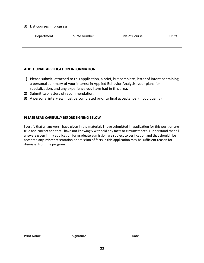# 3) List courses in progress:

| Department | Course Number | Title of Course | Units |
|------------|---------------|-----------------|-------|
|            |               |                 |       |
|            |               |                 |       |
|            |               |                 |       |
|            |               |                 |       |

# **ADDITIONAL APPLLICATION INFORMATION**

- **1)** Please submit, attached to this application, a brief, but complete, letter of intent containing a personal summary of your interest in Applied Behavior Analysis, your plans for specialization, and any experience you have had in this area.
- **2)** Submit two letters of recommendation.
- **3)** A personal interview must be completed prior to final acceptance. (If you qualify)

# **PLEASE READ CAREFULLY BEFORE SIGNING BELOW**

I certify that all answers I have given in the materials I have submitted in application for this position are true and correct and that I have not knowingly withheld any facts or circumstances. I understand that all answers given in my application for graduate admission are subject to verification and that should I be accepted any misrepresentation or omission of facts in this application may be sufficient reason for dismissal from the program.

\_\_\_\_\_\_\_\_\_\_\_\_\_\_\_\_\_\_\_\_ \_\_\_\_\_\_\_\_\_\_\_\_\_\_\_\_\_\_\_\_\_\_\_\_\_ \_\_\_\_\_\_\_\_\_\_\_\_\_\_\_\_\_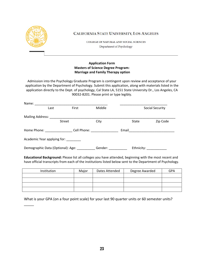

 $\overline{\phantom{a}}$ 

CALIFORNIA STATE UNIVERSITY, LOS ANGELES

COLLEGE OF NATURAL AND SOCIAL SCIENCES Department of Psychology

# **Application Form Masters of Science Degree Program: Marriage and Family Therapy option**

Admission into the Psychology Graduate Program is contingent upon review and acceptance of your application by the Department of Psychology. Submit this application, along with materials listed in the application directly to the Dept. of psychology, Cal State LA, 5151 State University Dr., Los Angeles, CA 90032‐8201. Please print or type legibly.

| Name:                    |                                   |                            |         |       |                         |                 |
|--------------------------|-----------------------------------|----------------------------|---------|-------|-------------------------|-----------------|
|                          | Last                              | First                      | Middle  |       |                         | Social Security |
| Mailing Address:         |                                   |                            |         |       |                         |                 |
|                          | <b>Street</b>                     |                            | City    |       | State                   | Zip Code        |
| Home Phone: North States |                                   | Cell Phone: The Collection |         | Email |                         |                 |
|                          | Academic Year applying for:       |                            |         |       |                         |                 |
|                          | Demographic Data (Optional): Age: |                            | Gender: |       | Ethnicity: ____________ |                 |

**Educational Background:** Please list all colleges you have attended, beginning with the most recent and have official transcripts from each of the institutions listed below sent to the Department of Psychology.

| Institution | Major | Dates Attended | Degree Awarded | <b>GPA</b> |
|-------------|-------|----------------|----------------|------------|
|             |       |                |                |            |
|             |       |                |                |            |
|             |       |                |                |            |
|             |       |                |                |            |

What is your GPA (on a four point scale) for your last 90 quarter units or 60 semester units?